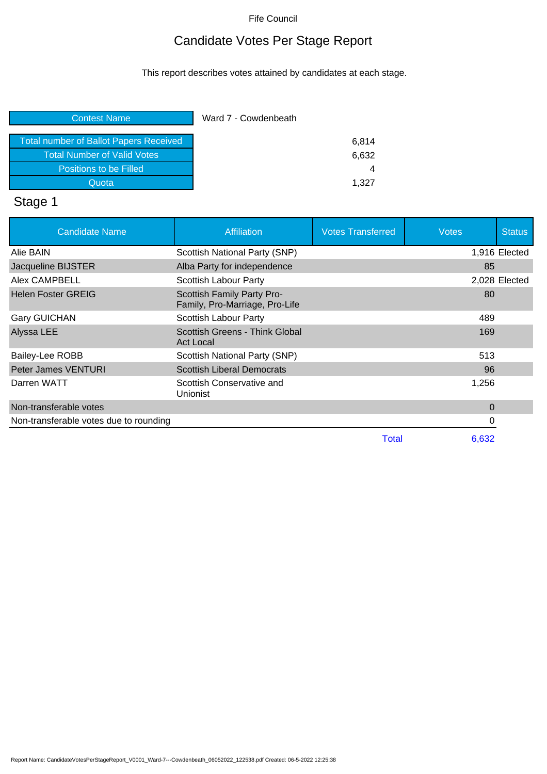## Candidate Votes Per Stage Report

This report describes votes attained by candidates at each stage.

| <b>Contest Name</b>                    | Ward 7 - Cowdenbeath |
|----------------------------------------|----------------------|
| Total number of Ballot Papers Received | 6,814                |
| <b>Total Number of Valid Votes</b>     | 6,632                |
| Positions to be Filled                 |                      |
| Quota                                  | 1.327                |

# Stage 1

| <b>Candidate Name</b>                  | <b>Affiliation</b>                                           | <b>Votes Transferred</b> | <b>Votes</b> | <b>Status</b> |
|----------------------------------------|--------------------------------------------------------------|--------------------------|--------------|---------------|
| Alie BAIN                              | Scottish National Party (SNP)                                |                          |              | 1,916 Elected |
| Jacqueline BIJSTER                     | Alba Party for independence                                  |                          | 85           |               |
| Alex CAMPBELL                          | Scottish Labour Party                                        |                          |              | 2,028 Elected |
| <b>Helen Foster GREIG</b>              | Scottish Family Party Pro-<br>Family, Pro-Marriage, Pro-Life |                          | 80           |               |
| <b>Gary GUICHAN</b>                    | Scottish Labour Party                                        |                          | 489          |               |
| Alyssa LEE                             | Scottish Greens - Think Global<br><b>Act Local</b>           |                          | 169          |               |
| <b>Bailey-Lee ROBB</b>                 | Scottish National Party (SNP)                                |                          | 513          |               |
| Peter James VENTURI                    | <b>Scottish Liberal Democrats</b>                            |                          | 96           |               |
| Darren WATT                            | Scottish Conservative and<br>Unionist                        |                          | 1,256        |               |
| Non-transferable votes                 |                                                              |                          | 0            |               |
| Non-transferable votes due to rounding |                                                              |                          | 0            |               |
|                                        |                                                              | Total                    | 6,632        |               |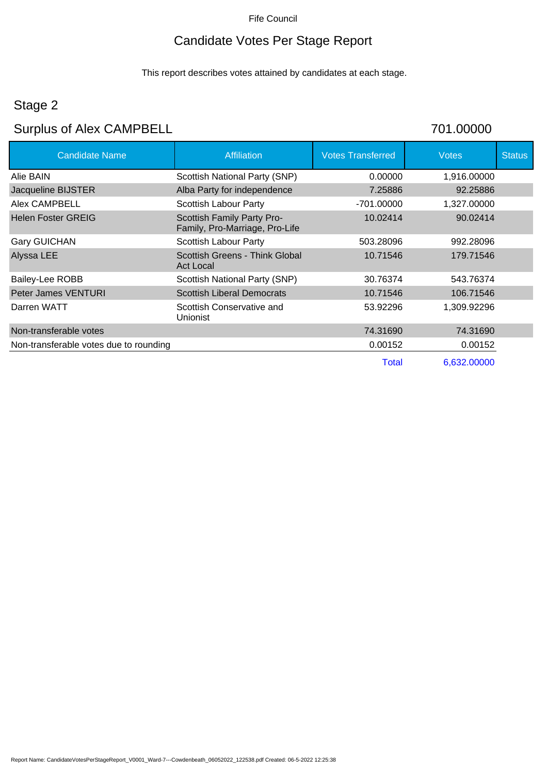## Candidate Votes Per Stage Report

This report describes votes attained by candidates at each stage.

## Stage 2

## Surplus of Alex CAMPBELL 701.00000

| <b>Candidate Name</b>                  | Affiliation                                                  | <b>Votes Transferred</b> | <b>Votes</b> | <b>Status</b> |
|----------------------------------------|--------------------------------------------------------------|--------------------------|--------------|---------------|
| Alie BAIN                              | Scottish National Party (SNP)                                | 0.00000                  | 1,916.00000  |               |
| Jacqueline BIJSTER                     | Alba Party for independence                                  | 7.25886                  | 92.25886     |               |
| Alex CAMPBELL                          | Scottish Labour Party                                        | -701.00000               | 1,327.00000  |               |
| <b>Helen Foster GREIG</b>              | Scottish Family Party Pro-<br>Family, Pro-Marriage, Pro-Life | 10.02414                 | 90.02414     |               |
| <b>Gary GUICHAN</b>                    | Scottish Labour Party                                        | 503.28096                | 992.28096    |               |
| Alyssa LEE                             | Scottish Greens - Think Global<br>Act Local                  | 10.71546                 | 179.71546    |               |
| Bailey-Lee ROBB                        | Scottish National Party (SNP)                                | 30.76374                 | 543.76374    |               |
| <b>Peter James VENTURI</b>             | <b>Scottish Liberal Democrats</b>                            | 10.71546                 | 106.71546    |               |
| Darren WATT                            | Scottish Conservative and<br>Unionist                        | 53.92296                 | 1,309.92296  |               |
| Non-transferable votes                 |                                                              | 74.31690                 | 74.31690     |               |
| Non-transferable votes due to rounding |                                                              | 0.00152                  | 0.00152      |               |
|                                        |                                                              | Total                    | 6,632.00000  |               |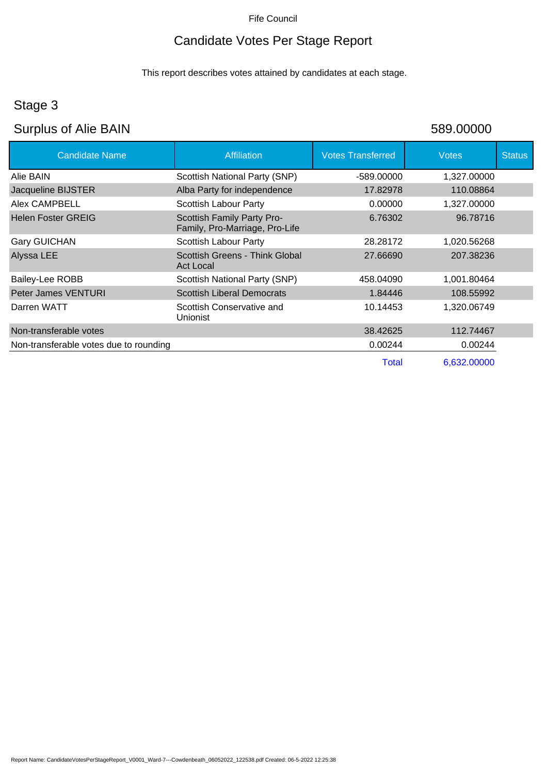## Candidate Votes Per Stage Report

This report describes votes attained by candidates at each stage.

## Stage 3

## Surplus of Alie BAIN 589.00000

| <b>Candidate Name</b>                  | <b>Affiliation</b>                                           | <b>Votes Transferred</b> | <b>Votes</b> | <b>Status</b> |
|----------------------------------------|--------------------------------------------------------------|--------------------------|--------------|---------------|
| Alie BAIN                              | Scottish National Party (SNP)                                | -589.00000               | 1,327.00000  |               |
| Jacqueline BIJSTER                     | Alba Party for independence                                  | 17.82978                 | 110.08864    |               |
| Alex CAMPBELL                          | Scottish Labour Party                                        | 0.00000                  | 1,327.00000  |               |
| <b>Helen Foster GREIG</b>              | Scottish Family Party Pro-<br>Family, Pro-Marriage, Pro-Life | 6.76302                  | 96.78716     |               |
| <b>Gary GUICHAN</b>                    | Scottish Labour Party                                        | 28.28172                 | 1,020.56268  |               |
| Alyssa LEE                             | Scottish Greens - Think Global<br><b>Act Local</b>           | 27.66690                 | 207.38236    |               |
| Bailey-Lee ROBB                        | Scottish National Party (SNP)                                | 458.04090                | 1,001.80464  |               |
| Peter James VENTURI                    | <b>Scottish Liberal Democrats</b>                            | 1.84446                  | 108.55992    |               |
| Darren WATT                            | Scottish Conservative and<br>Unionist                        | 10.14453                 | 1,320.06749  |               |
| Non-transferable votes                 |                                                              | 38.42625                 | 112.74467    |               |
| Non-transferable votes due to rounding |                                                              | 0.00244                  | 0.00244      |               |
|                                        |                                                              | <b>Total</b>             | 6,632.00000  |               |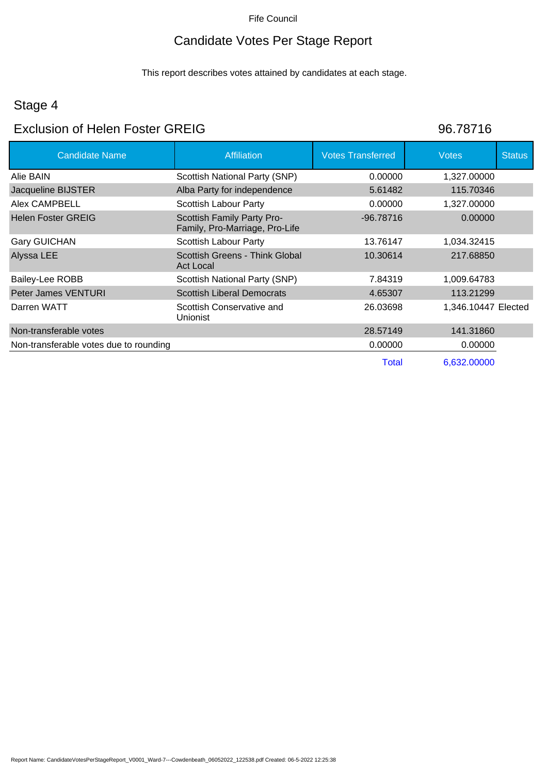## Candidate Votes Per Stage Report

This report describes votes attained by candidates at each stage.

## Stage 4

### Exclusion of Helen Foster GREIG 86.78716

| <b>Candidate Name</b>                  | Affiliation                                                  | <b>Votes Transferred</b> | <b>Votes</b>        | <b>Status</b> |
|----------------------------------------|--------------------------------------------------------------|--------------------------|---------------------|---------------|
| Alie BAIN                              | Scottish National Party (SNP)                                | 0.00000                  | 1,327.00000         |               |
| Jacqueline BIJSTER                     | Alba Party for independence                                  | 5.61482                  | 115.70346           |               |
| Alex CAMPBELL                          | <b>Scottish Labour Party</b>                                 | 0.00000                  | 1,327.00000         |               |
| <b>Helen Foster GREIG</b>              | Scottish Family Party Pro-<br>Family, Pro-Marriage, Pro-Life | $-96.78716$              | 0.00000             |               |
| <b>Gary GUICHAN</b>                    | Scottish Labour Party                                        | 13.76147                 | 1,034.32415         |               |
| Alyssa LEE                             | Scottish Greens - Think Global<br><b>Act Local</b>           | 10.30614                 | 217.68850           |               |
| <b>Bailey-Lee ROBB</b>                 | Scottish National Party (SNP)                                | 7.84319                  | 1,009.64783         |               |
| Peter James VENTURI                    | <b>Scottish Liberal Democrats</b>                            | 4.65307                  | 113.21299           |               |
| Darren WATT                            | Scottish Conservative and<br>Unionist                        | 26.03698                 | 1,346.10447 Elected |               |
| Non-transferable votes                 |                                                              | 28.57149                 | 141.31860           |               |
| Non-transferable votes due to rounding |                                                              | 0.00000                  | 0.00000             |               |
|                                        |                                                              | Total                    | 6,632.00000         |               |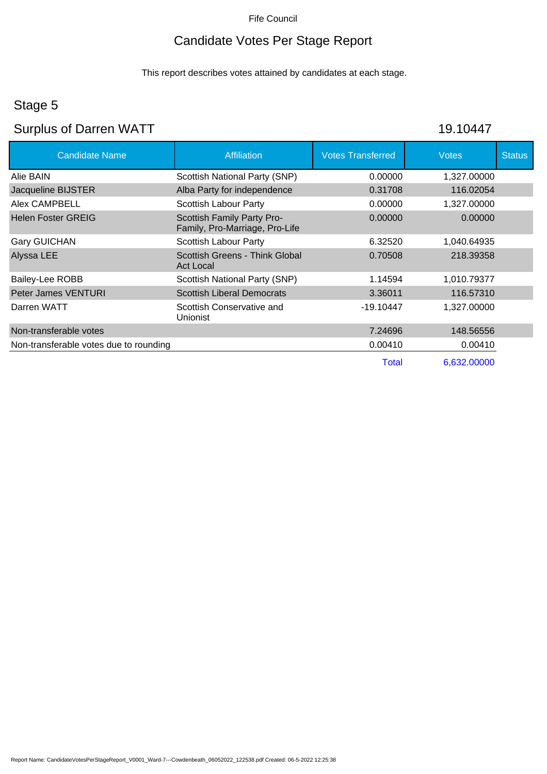## Candidate Votes Per Stage Report

This report describes votes attained by candidates at each stage.

## Stage 5

## Surplus of Darren WATT 19.10447

| <b>Candidate Name</b>                  | <b>Affiliation</b>                                           | <b>Votes Transferred</b> | <b>Votes</b> | <b>Status</b> |
|----------------------------------------|--------------------------------------------------------------|--------------------------|--------------|---------------|
| Alie BAIN                              | Scottish National Party (SNP)                                | 0.00000                  | 1,327.00000  |               |
| Jacqueline BIJSTER                     | Alba Party for independence                                  | 0.31708                  | 116.02054    |               |
| Alex CAMPBELL                          | Scottish Labour Party                                        | 0.00000                  | 1,327.00000  |               |
| <b>Helen Foster GREIG</b>              | Scottish Family Party Pro-<br>Family, Pro-Marriage, Pro-Life | 0.00000                  | 0.00000      |               |
| <b>Gary GUICHAN</b>                    | Scottish Labour Party                                        | 6.32520                  | 1,040.64935  |               |
| Alyssa LEE                             | Scottish Greens - Think Global<br>Act Local                  | 0.70508                  | 218.39358    |               |
| Bailey-Lee ROBB                        | Scottish National Party (SNP)                                | 1.14594                  | 1,010.79377  |               |
| Peter James VENTURI                    | <b>Scottish Liberal Democrats</b>                            | 3.36011                  | 116.57310    |               |
| Darren WATT                            | Scottish Conservative and<br>Unionist                        | $-19.10447$              | 1,327.00000  |               |
| Non-transferable votes                 |                                                              | 7.24696                  | 148.56556    |               |
| Non-transferable votes due to rounding |                                                              | 0.00410                  | 0.00410      |               |
|                                        |                                                              | Total                    | 6,632.00000  |               |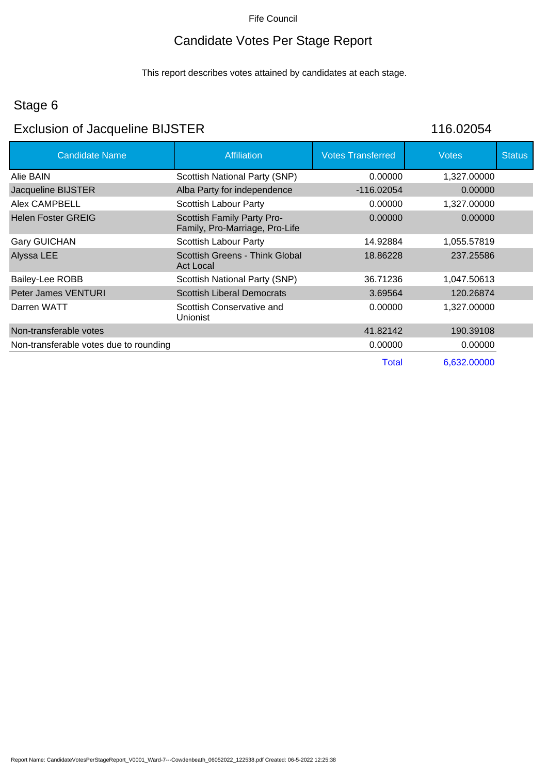## Candidate Votes Per Stage Report

This report describes votes attained by candidates at each stage.

### Stage 6

## Exclusion of Jacqueline BIJSTER 116.02054

| <b>Candidate Name</b>                  | <b>Affiliation</b>                                           | <b>Votes Transferred</b> | <b>Votes</b> | <b>Status</b> |
|----------------------------------------|--------------------------------------------------------------|--------------------------|--------------|---------------|
| Alie BAIN                              | Scottish National Party (SNP)                                | 0.00000                  | 1,327.00000  |               |
| Jacqueline BIJSTER                     | Alba Party for independence                                  | $-116.02054$             | 0.00000      |               |
| Alex CAMPBELL                          | Scottish Labour Party                                        | 0.00000                  | 1,327.00000  |               |
| <b>Helen Foster GREIG</b>              | Scottish Family Party Pro-<br>Family, Pro-Marriage, Pro-Life | 0.00000                  | 0.00000      |               |
| <b>Gary GUICHAN</b>                    | Scottish Labour Party                                        | 14.92884                 | 1,055.57819  |               |
| Alyssa LEE                             | Scottish Greens - Think Global<br><b>Act Local</b>           | 18.86228                 | 237.25586    |               |
| Bailey-Lee ROBB                        | <b>Scottish National Party (SNP)</b>                         | 36.71236                 | 1,047.50613  |               |
| <b>Peter James VENTURI</b>             | <b>Scottish Liberal Democrats</b>                            | 3.69564                  | 120.26874    |               |
| Darren WATT                            | Scottish Conservative and<br><b>Unionist</b>                 | 0.00000                  | 1,327.00000  |               |
| Non-transferable votes                 |                                                              | 41.82142                 | 190.39108    |               |
| Non-transferable votes due to rounding |                                                              | 0.00000                  | 0.00000      |               |
|                                        |                                                              | Total                    | 6,632.00000  |               |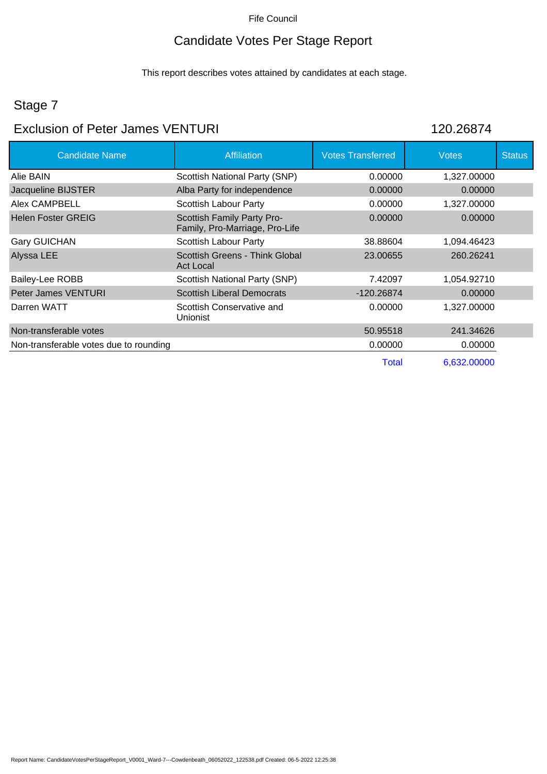## Candidate Votes Per Stage Report

This report describes votes attained by candidates at each stage.

## Stage 7

### Exclusion of Peter James VENTURI 120.26874

| <b>Candidate Name</b>                  | <b>Affiliation</b>                                           | <b>Votes Transferred</b> | <b>Votes</b> | <b>Status</b> |
|----------------------------------------|--------------------------------------------------------------|--------------------------|--------------|---------------|
| Alie BAIN                              | Scottish National Party (SNP)                                | 0.00000                  | 1,327.00000  |               |
| Jacqueline BIJSTER                     | Alba Party for independence                                  | 0.00000                  | 0.00000      |               |
| Alex CAMPBELL                          | <b>Scottish Labour Party</b>                                 | 0.00000                  | 1,327.00000  |               |
| <b>Helen Foster GREIG</b>              | Scottish Family Party Pro-<br>Family, Pro-Marriage, Pro-Life | 0.00000                  | 0.00000      |               |
| <b>Gary GUICHAN</b>                    | Scottish Labour Party                                        | 38.88604                 | 1,094.46423  |               |
| Alyssa LEE                             | Scottish Greens - Think Global<br><b>Act Local</b>           | 23.00655                 | 260.26241    |               |
| Bailey-Lee ROBB                        | Scottish National Party (SNP)                                | 7.42097                  | 1,054.92710  |               |
| Peter James VENTURI                    | <b>Scottish Liberal Democrats</b>                            | $-120.26874$             | 0.00000      |               |
| Darren WATT                            | Scottish Conservative and<br><b>Unionist</b>                 | 0.00000                  | 1,327.00000  |               |
| Non-transferable votes                 |                                                              | 50.95518                 | 241.34626    |               |
| Non-transferable votes due to rounding |                                                              | 0.00000                  | 0.00000      |               |
|                                        |                                                              | Total                    | 6,632,00000  |               |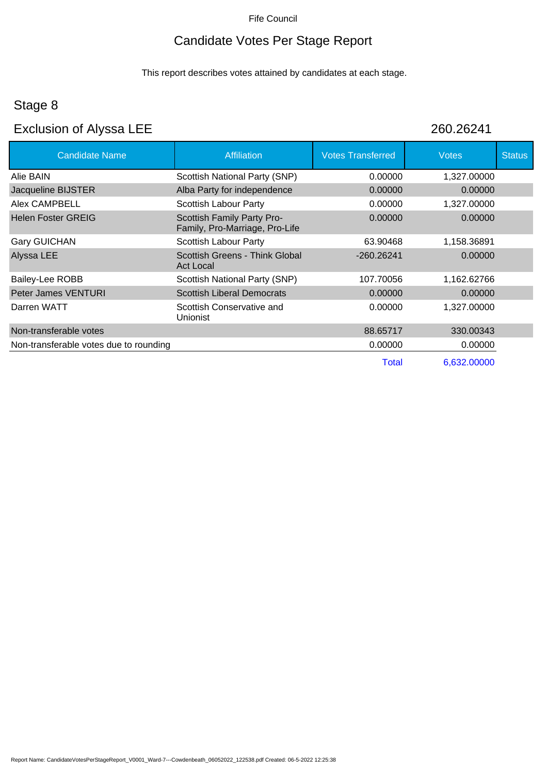## Candidate Votes Per Stage Report

This report describes votes attained by candidates at each stage.

### Stage 8

### Exclusion of Alyssa LEE 260.26241

| <b>Candidate Name</b>                  | <b>Affiliation</b>                                           | <b>Votes Transferred</b> | <b>Votes</b> | <b>Status</b> |
|----------------------------------------|--------------------------------------------------------------|--------------------------|--------------|---------------|
| Alie BAIN                              | Scottish National Party (SNP)                                | 0.00000                  | 1,327.00000  |               |
| Jacqueline BIJSTER                     | Alba Party for independence                                  | 0.00000                  | 0.00000      |               |
| Alex CAMPBELL                          | Scottish Labour Party                                        | 0.00000                  | 1,327.00000  |               |
| <b>Helen Foster GREIG</b>              | Scottish Family Party Pro-<br>Family, Pro-Marriage, Pro-Life | 0.00000                  | 0.00000      |               |
| <b>Gary GUICHAN</b>                    | Scottish Labour Party                                        | 63.90468                 | 1,158.36891  |               |
| Alyssa LEE                             | Scottish Greens - Think Global<br>Act Local                  | $-260.26241$             | 0.00000      |               |
| Bailey-Lee ROBB                        | Scottish National Party (SNP)                                | 107.70056                | 1,162.62766  |               |
| Peter James VENTURI                    | <b>Scottish Liberal Democrats</b>                            | 0.00000                  | 0.00000      |               |
| Darren WATT                            | Scottish Conservative and<br><b>Unionist</b>                 | 0.00000                  | 1,327.00000  |               |
| Non-transferable votes                 |                                                              | 88.65717                 | 330.00343    |               |
| Non-transferable votes due to rounding |                                                              | 0.00000                  | 0.00000      |               |
|                                        |                                                              | Total                    | 6,632.00000  |               |